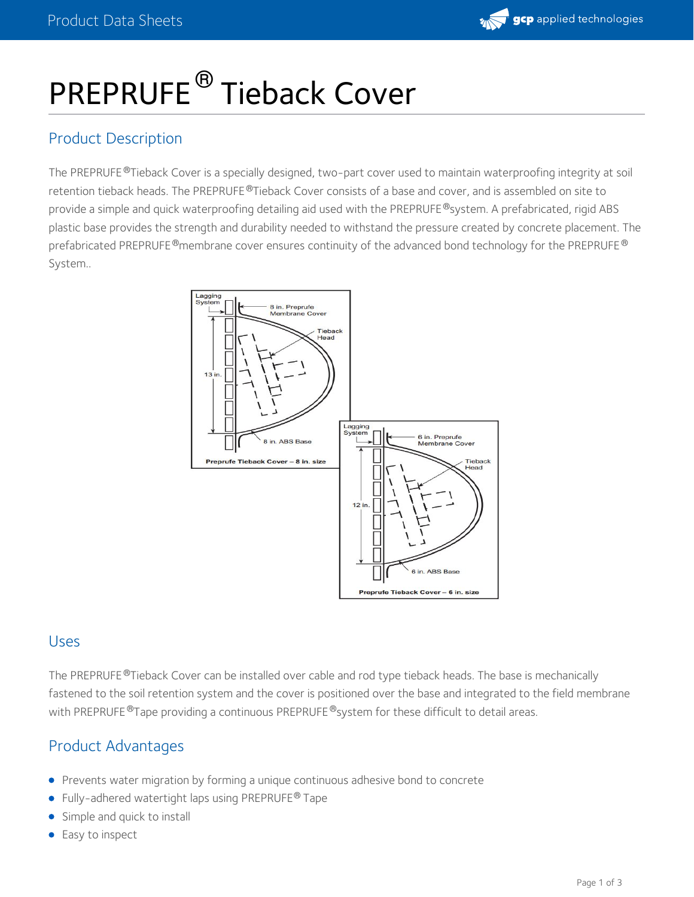

# PREPRUFE<sup>®</sup> Tieback Cover

## Product Description

The PREPRUFE ®Tieback Cover is a specially designed, two-part cover used to maintain waterproofing integrity at soil retention tieback heads. The PREPRUFE®Tieback Cover consists of a base and cover, and is assembled on site to provide a simple and quick waterproofing detailing aid used with the PREPRUFE®system. A prefabricated, rigid ABS plastic base provides the strength and durability needed to withstand the pressure created by concrete placement. The prefabricated PREPRUFE $^\circledR$ membrane cover ensures continuity of the advanced bond technology for the PREPRUFE  $^\circledR$ System..



## Uses

The PREPRUFE ®Tieback Cover can be installed over cable and rod type tieback heads. The base is mechanically fastened to the soil retention system and the cover is positioned over the base and integrated to the field membrane with PREPRUFE  $^\circledR$ Tape providing a continuous PREPRUFE  $^\circledR$ system for these difficult to detail areas.

## Product Advantages

- Prevents water migration by forming a unique continuous adhesive bond to concrete
- Fully-adhered watertight laps using PREPRUFE<sup>®</sup> Tape
- Simple and quick to install
- **Easy to inspect**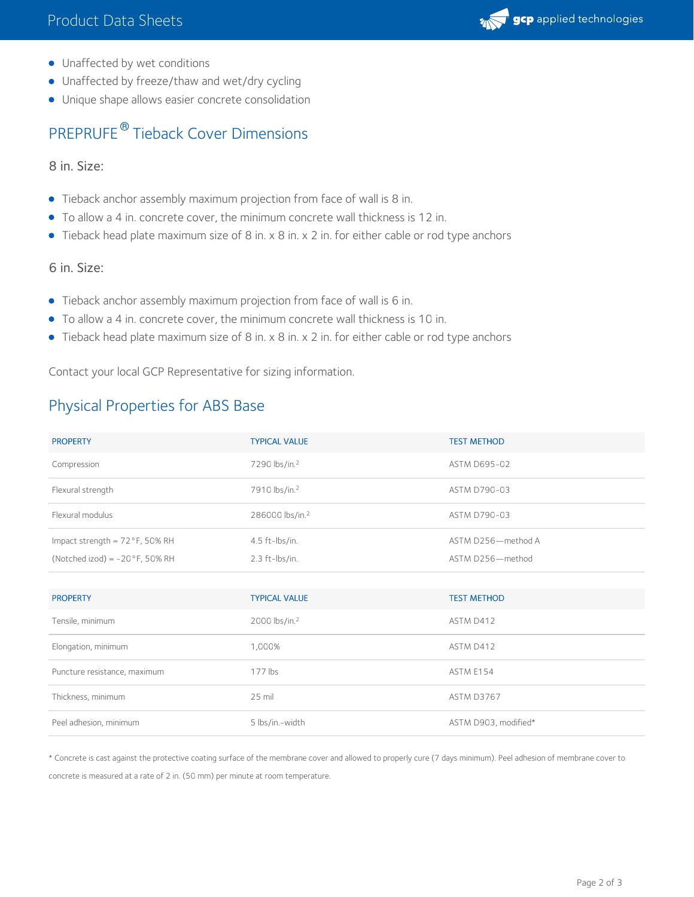

- Unaffected by wet conditions
- Unaffected by freeze/thaw and wet/dry cycling
- Unique shape allows easier concrete consolidation

# PREPRUFE<sup>®</sup> Tieback Cover Dimensions

8 in. Size:

- Tieback anchor assembly maximum projection from face of wall is 8 in.
- To allow a 4 in. concrete cover, the minimum concrete wall thickness is 12 in.
- Tieback head plate maximum size of 8 in. x 8 in. x 2 in. for either cable or rod type anchors

#### 6 in. Size:

- Tieback anchor assembly maximum projection from face of wall is 6 in.
- To allow a 4 in. concrete cover, the minimum concrete wall thickness is 10 in.
- Tieback head plate maximum size of 8 in. x 8 in. x 2 in. for either cable or rod type anchors

Contact your local GCP Representative for sizing information.

# Physical Properties for ABS Base

| <b>PROPERTY</b>                          | <b>TYPICAL VALUE</b>        | <b>TEST METHOD</b> |
|------------------------------------------|-----------------------------|--------------------|
| Compression                              | 7290 lbs/in. <sup>2</sup>   | ASTM D695-02       |
| Flexural strength                        | 7910 lbs/in. <sup>2</sup>   | ASTM D790-03       |
| Flexural modulus                         | 286000 lbs/in. <sup>2</sup> | ASTM D790-03       |
| Impact strength = $72^{\circ}$ F, 50% RH | $4.5$ ft-lbs/in.            | ASTM D256-method A |
| (Notched izod) = $-20^{\circ}$ F, 50% RH | $2.3$ ft-lbs/in.            | ASTM D256-method   |

| <b>PROPERTY</b>              | <b>TYPICAL VALUE</b>      | <b>TEST METHOD</b>   |
|------------------------------|---------------------------|----------------------|
| Tensile, minimum             | 2000 lbs/in. <sup>2</sup> | ASTM D412            |
| Elongation, minimum          | 1,000%                    | ASTM D412            |
| Puncture resistance, maximum | $177$ lbs                 | ASTM E154            |
| Thickness, minimum           | $25$ mil                  | <b>ASTM D3767</b>    |
| Peel adhesion, minimum       | 5 lbs/in.-width           | ASTM D903, modified* |

\* Concrete is cast against the protective coating surface of the membrane cover and allowed to properly cure (7 days minimum). Peel adhesion of membrane cover to concrete is measured at a rate of 2 in. (50 mm) per minute at room temperature.